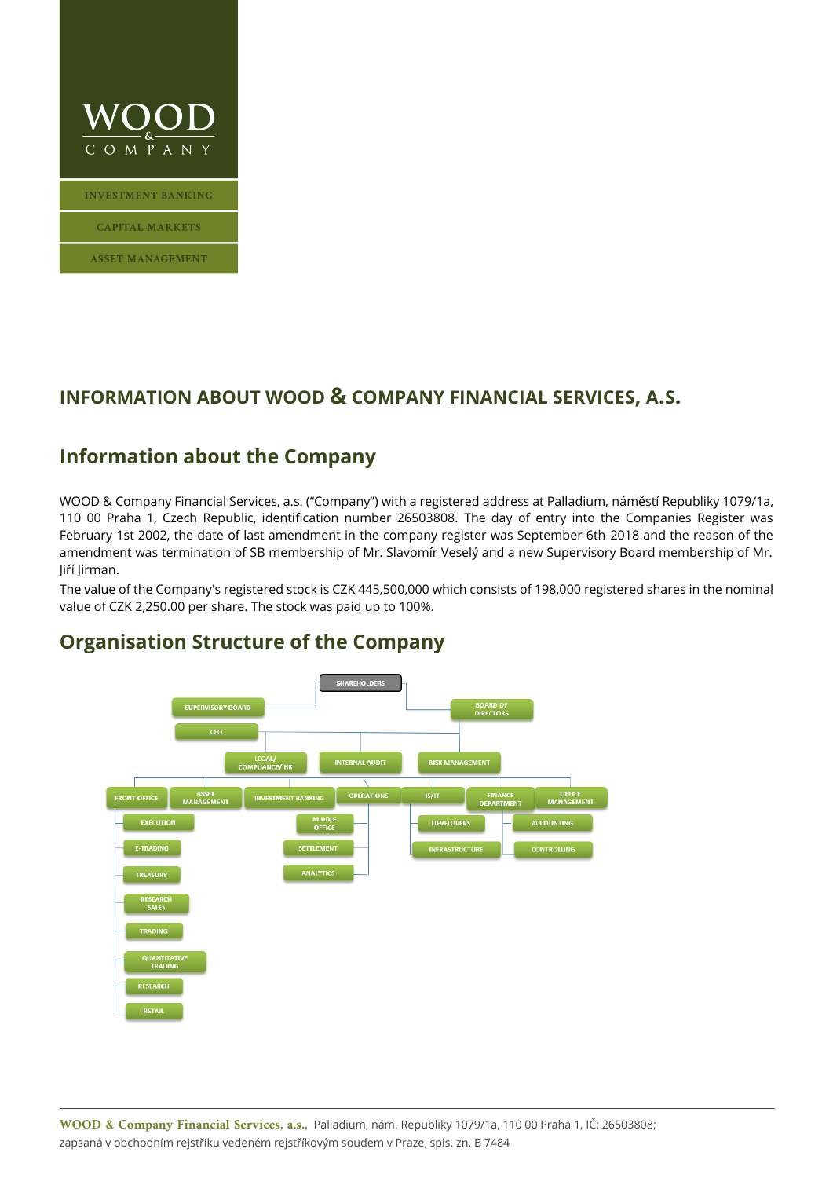

**INVESTMENT BANKING** 

**CAPITAL MARKETS** 

**ASSET MANAGEMENT** 

#### **INFORMATION ABOUT WOOD & COMPANY FINANCIAL SERVICES, A.S.**

### **Information about the Company**

WOOD & Company Financial Services, a.s. ("Company") with a registered address at Palladium, náměstí Republiky 1079/1a, 110 00 Praha 1, Czech Republic, identification number 26503808. The day of entry into the Companies Register was February 1st 2002, the date of last amendment in the company register was September 6th 2018 and the reason of the amendment was termination of SB membership of Mr. Slavomír Veselý and a new Supervisory Board membership of Mr. Jiří Jirman.

The value of the Company's registered stock is CZK 445,500,000 which consists of 198,000 registered shares in the nominal value of CZK 2,250.00 per share. The stock was paid up to 100%.



### **Organisation Structure of the Company**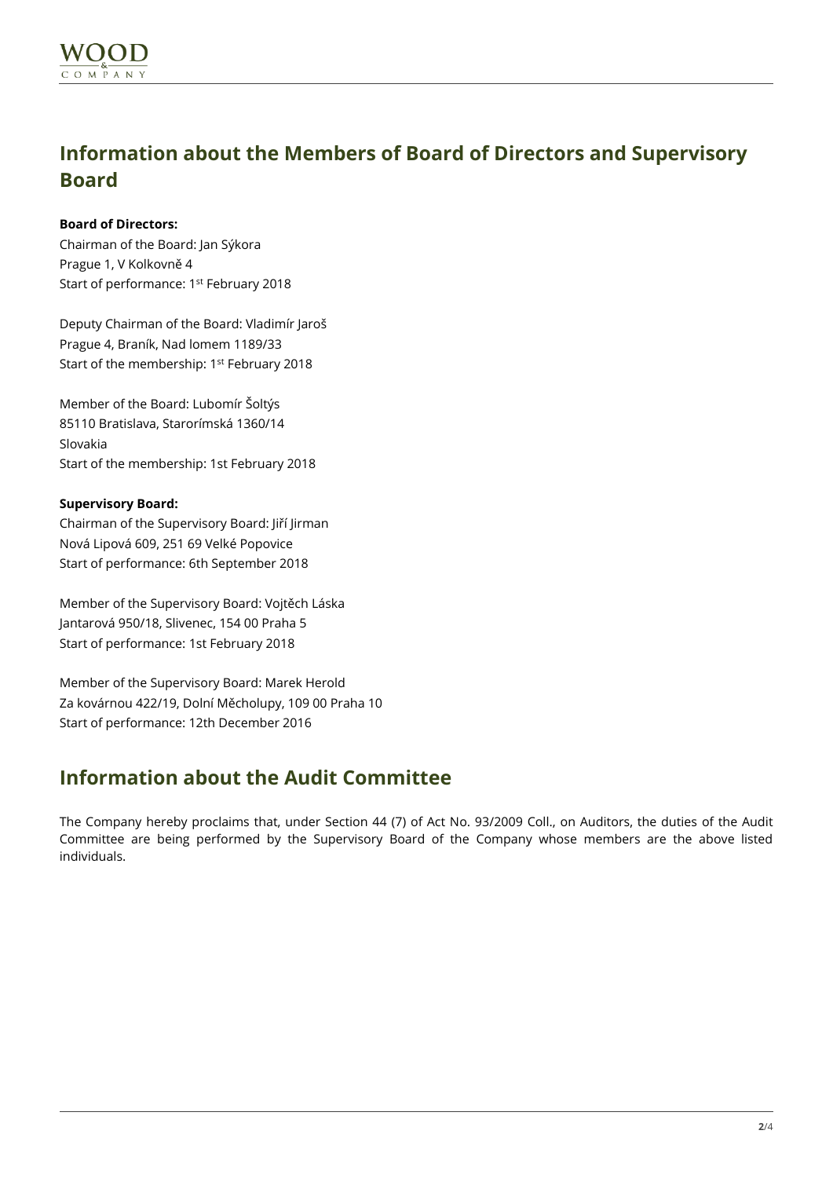## **Information about the Members of Board of Directors and Supervisory Board**

#### **Board of Directors:**

Chairman of the Board: Jan Sýkora Prague 1, V Kolkovně 4 Start of performance: 1st February 2018

Deputy Chairman of the Board: Vladimír Jaroš Prague 4, Braník, Nad lomem 1189/33 Start of the membership: 1<sup>st</sup> February 2018

Member of the Board: Lubomír Šoltýs 85110 Bratislava, Starorímská 1360/14 Slovakia Start of the membership: 1st February 2018

#### **Supervisory Board:**

Chairman of the Supervisory Board: Jiří Jirman Nová Lipová 609, 251 69 Velké Popovice Start of performance: 6th September 2018

Member of the Supervisory Board: Vojtěch Láska Jantarová 950/18, Slivenec, 154 00 Praha 5 Start of performance: 1st February 2018

Member of the Supervisory Board: Marek Herold Za kovárnou 422/19, Dolní Měcholupy, 109 00 Praha 10 Start of performance: 12th December 2016

## **Information about the Audit Committee**

The Company hereby proclaims that, under Section 44 (7) of Act No. 93/2009 Coll., on Auditors, the duties of the Audit Committee are being performed by the Supervisory Board of the Company whose members are the above listed individuals.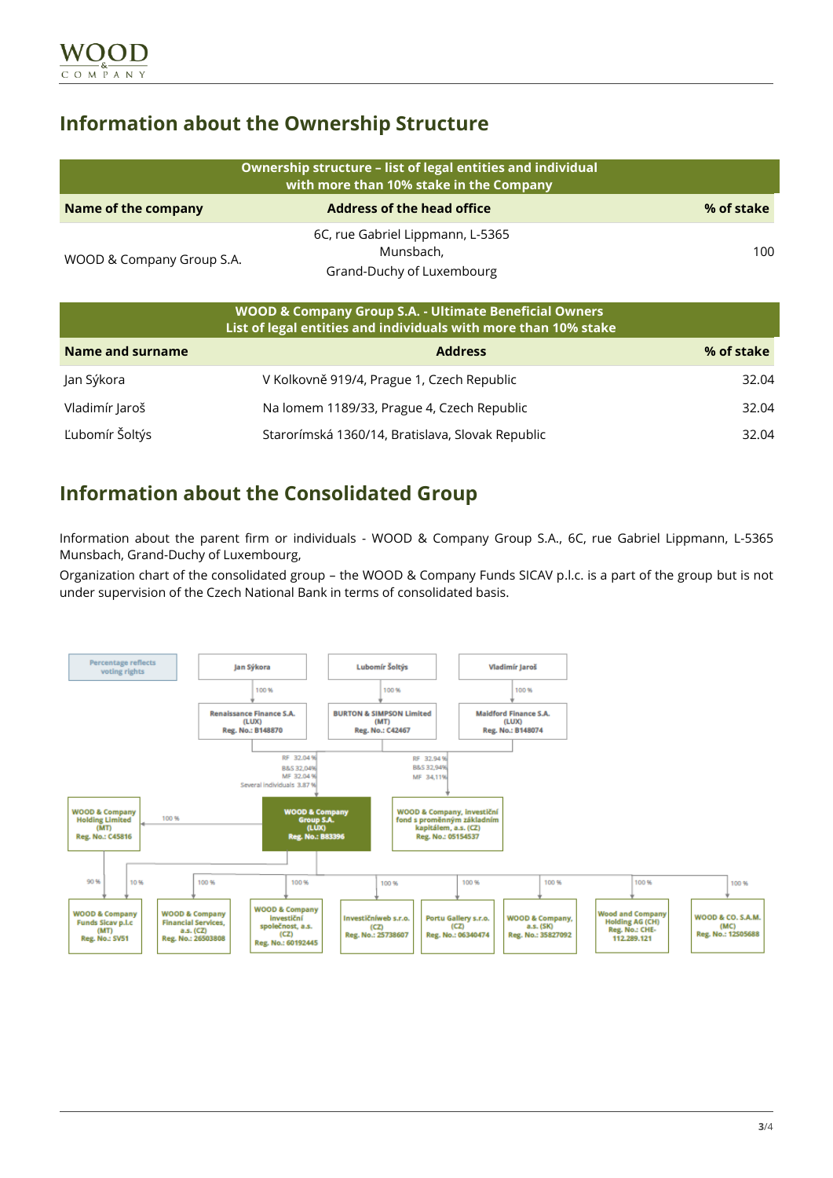## **Information about the Ownership Structure**

| Ownership structure - list of legal entities and individual<br>with more than 10% stake in the Company |                                                                            |            |  |
|--------------------------------------------------------------------------------------------------------|----------------------------------------------------------------------------|------------|--|
| <b>Name of the company</b>                                                                             | <b>Address of the head office</b>                                          | % of stake |  |
| WOOD & Company Group S.A.                                                                              | 6C, rue Gabriel Lippmann, L-5365<br>Munsbach,<br>Grand-Duchy of Luxembourg | 100.       |  |

| <b>WOOD &amp; Company Group S.A. - Ultimate Beneficial Owners</b><br>List of legal entities and individuals with more than 10% stake |                                                  |            |
|--------------------------------------------------------------------------------------------------------------------------------------|--------------------------------------------------|------------|
| Name and surname                                                                                                                     | <b>Address</b>                                   | % of stake |
| Jan Sýkora                                                                                                                           | V Kolkovně 919/4, Prague 1, Czech Republic       | 32.04      |
| Vladimír Jaroš                                                                                                                       | Na lomem 1189/33, Prague 4, Czech Republic       | 32.04      |
| Ľubomír Šoltýs                                                                                                                       | Starorímská 1360/14, Bratislava, Slovak Republic | 32.04      |

## **Information about the Consolidated Group**

Information about the parent firm or individuals - WOOD & Company Group S.A., 6C, rue Gabriel Lippmann, L-5365 Munsbach, Grand-Duchy of Luxembourg,

Organization chart of the consolidated group – the WOOD & Company Funds SICAV p.l.c. is a part of the group but is not under supervision of the Czech National Bank in terms of consolidated basis.